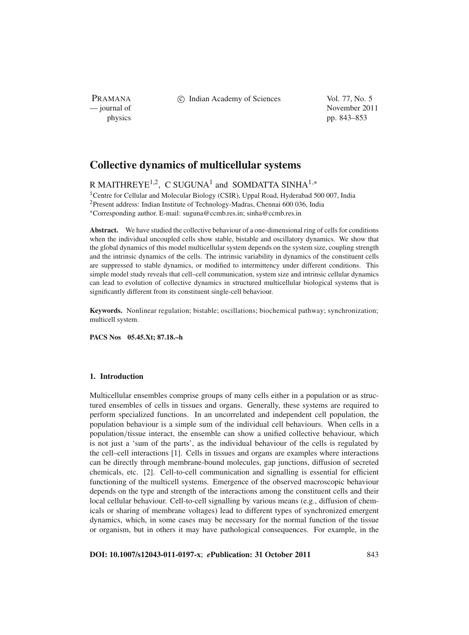PRAMANA

c Indian Academy of Sciences Vol. 77, No. 5

— journal of November 2011 physics pp. 843–853

# **Collective dynamics of multicellular systems**

R MAITHREYE<sup>1,2</sup>, C SUGUNA<sup>1</sup> and SOMDATTA SINHA<sup>1,\*</sup>

<sup>1</sup>Centre for Cellular and Molecular Biology (CSIR), Uppal Road, Hyderabad 500 007, India 2Present address: Indian Institute of Technology-Madras, Chennai 600 036, India <sup>∗</sup>Corresponding author. E-mail: suguna@ccmb.res.in; sinha@ccmb.res.in

**Abstract.** We have studied the collective behaviour of a one-dimensional ring of cells for conditions when the individual uncoupled cells show stable, bistable and oscillatory dynamics. We show that the global dynamics of this model multicellular system depends on the system size, coupling strength and the intrinsic dynamics of the cells. The intrinsic variability in dynamics of the constituent cells are suppressed to stable dynamics, or modified to intermittency under different conditions. This simple model study reveals that cell–cell communication, system size and intrinsic cellular dynamics can lead to evolution of collective dynamics in structured multicellular biological systems that is significantly different from its constituent single-cell behaviour.

**Keywords.** Nonlinear regulation; bistable; oscillations; biochemical pathway; synchronization; multicell system.

**PACS Nos 05.45.Xt; 87.18.–h**

# **1. Introduction**

Multicellular ensembles comprise groups of many cells either in a population or as structured ensembles of cells in tissues and organs. Generally, these systems are required to perform specialized functions. In an uncorrelated and independent cell population, the population behaviour is a simple sum of the individual cell behaviours. When cells in a population/tissue interact, the ensemble can show a unified collective behaviour, which is not just a 'sum of the parts', as the individual behaviour of the cells is regulated by the cell–cell interactions [1]. Cells in tissues and organs are examples where interactions can be directly through membrane-bound molecules, gap junctions, diffusion of secreted chemicals, etc. [2]. Cell-to-cell communication and signalling is essential for efficient functioning of the multicell systems. Emergence of the observed macroscopic behaviour depends on the type and strength of the interactions among the constituent cells and their local cellular behaviour. Cell-to-cell signalling by various means (e.g., diffusion of chemicals or sharing of membrane voltages) lead to different types of synchronized emergent dynamics, which, in some cases may be necessary for the normal function of the tissue or organism, but in others it may have pathological consequences. For example, in the

**DOI: 10.1007/s12043-011-0197-x**; *e***Publication: 31 October 2011** 843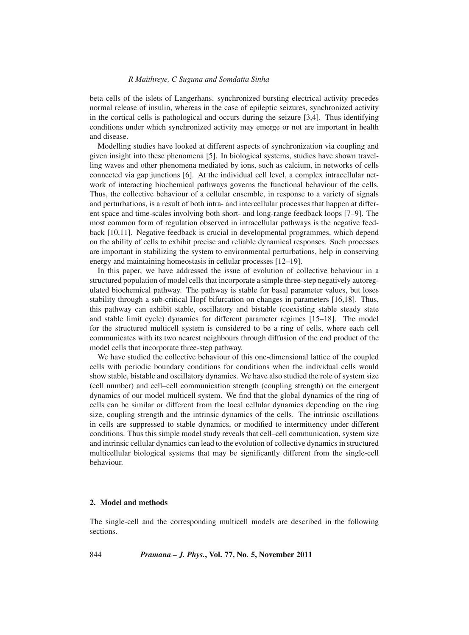#### *R Maithreye, C Suguna and Somdatta Sinha*

beta cells of the islets of Langerhans, synchronized bursting electrical activity precedes normal release of insulin, whereas in the case of epileptic seizures, synchronized activity in the cortical cells is pathological and occurs during the seizure [3,4]. Thus identifying conditions under which synchronized activity may emerge or not are important in health and disease.

Modelling studies have looked at different aspects of synchronization via coupling and given insight into these phenomena [5]. In biological systems, studies have shown travelling waves and other phenomena mediated by ions, such as calcium, in networks of cells connected via gap junctions [6]. At the individual cell level, a complex intracellular network of interacting biochemical pathways governs the functional behaviour of the cells. Thus, the collective behaviour of a cellular ensemble, in response to a variety of signals and perturbations, is a result of both intra- and intercellular processes that happen at different space and time-scales involving both short- and long-range feedback loops [7–9]. The most common form of regulation observed in intracellular pathways is the negative feedback [10,11]. Negative feedback is crucial in developmental programmes, which depend on the ability of cells to exhibit precise and reliable dynamical responses. Such processes are important in stabilizing the system to environmental perturbations, help in conserving energy and maintaining homeostasis in cellular processes [12–19].

In this paper, we have addressed the issue of evolution of collective behaviour in a structured population of model cells that incorporate a simple three-step negatively autoregulated biochemical pathway. The pathway is stable for basal parameter values, but loses stability through a sub-critical Hopf bifurcation on changes in parameters [16,18]. Thus, this pathway can exhibit stable, oscillatory and bistable (coexisting stable steady state and stable limit cycle) dynamics for different parameter regimes [15–18]. The model for the structured multicell system is considered to be a ring of cells, where each cell communicates with its two nearest neighbours through diffusion of the end product of the model cells that incorporate three-step pathway.

We have studied the collective behaviour of this one-dimensional lattice of the coupled cells with periodic boundary conditions for conditions when the individual cells would show stable, bistable and oscillatory dynamics. We have also studied the role of system size (cell number) and cell–cell communication strength (coupling strength) on the emergent dynamics of our model multicell system. We find that the global dynamics of the ring of cells can be similar or different from the local cellular dynamics depending on the ring size, coupling strength and the intrinsic dynamics of the cells. The intrinsic oscillations in cells are suppressed to stable dynamics, or modified to intermittency under different conditions. Thus this simple model study reveals that cell–cell communication, system size and intrinsic cellular dynamics can lead to the evolution of collective dynamics in structured multicellular biological systems that may be significantly different from the single-cell behaviour.

# **2. Model and methods**

The single-cell and the corresponding multicell models are described in the following sections.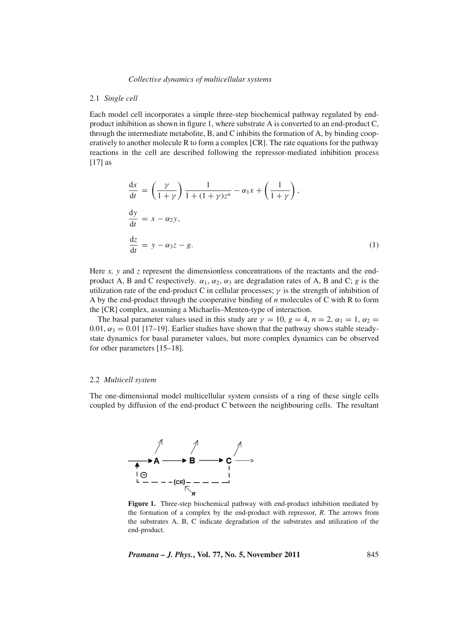# 2.1 *Single cell*

Each model cell incorporates a simple three-step biochemical pathway regulated by endproduct inhibition as shown in figure 1, where substrate A is converted to an end-product C, through the intermediate metabolite, B, and C inhibits the formation of A, by binding cooperatively to another molecule R to form a complex [CR]. The rate equations for the pathway reactions in the cell are described following the repressor-mediated inhibition process [17] as

$$
\frac{dx}{dt} = \left(\frac{\gamma}{1+\gamma}\right) \frac{1}{1+(1+\gamma)z^n} - \alpha_1 x + \left(\frac{1}{1+\gamma}\right),
$$
  
\n
$$
\frac{dy}{dt} = x - \alpha_2 y,
$$
  
\n
$$
\frac{dz}{dt} = y - \alpha_3 z - g.
$$
\n(1)

Here  $x$ ,  $y$  and  $z$  represent the dimensionless concentrations of the reactants and the endproduct A, B and C respectively.  $\alpha_1$ ,  $\alpha_2$ ,  $\alpha_3$  are degradation rates of A, B and C; *g* is the utilization rate of the end-product C in cellular processes;  $\gamma$  is the strength of inhibition of A by the end-product through the cooperative binding of *n* molecules of C with R to form the [CR] complex, assuming a Michaelis–Menten-type of interaction.

The basal parameter values used in this study are  $\gamma = 10$ ,  $g = 4$ ,  $n = 2$ ,  $\alpha_1 = 1$ ,  $\alpha_2 =$ 0.01,  $\alpha_3 = 0.01$  [17–19]. Earlier studies have shown that the pathway shows stable steadystate dynamics for basal parameter values, but more complex dynamics can be observed for other parameters [15–18].

# 2.2 *Multicell system*

The one-dimensional model multicellular system consists of a ring of these single cells coupled by diffusion of the end-product C between the neighbouring cells. The resultant



**Figure 1.** Three-step biochemical pathway with end-product inhibition mediated by the formation of a complex by the end-product with repressor, *R*. The arrows from the substrates A, B, C indicate degradation of the substrates and utilization of the end-product.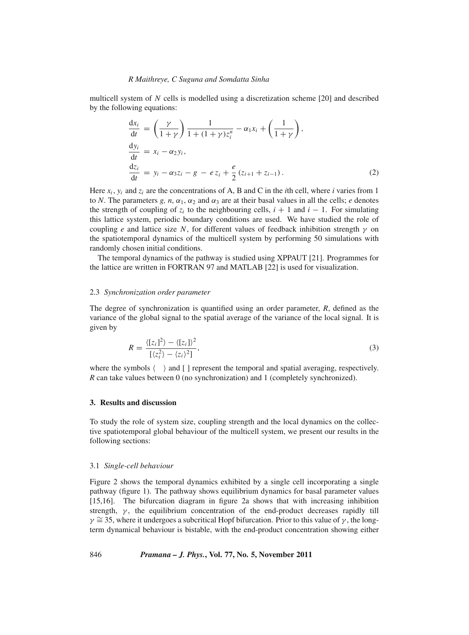#### *R Maithreye, C Suguna and Somdatta Sinha*

multicell system of *N* cells is modelled using a discretization scheme [20] and described by the following equations:

$$
\frac{dx_i}{dt} = \left(\frac{\gamma}{1+\gamma}\right) \frac{1}{1+(1+\gamma)z_i^n} - \alpha_1 x_i + \left(\frac{1}{1+\gamma}\right),\n\frac{dy_i}{dt} = x_i - \alpha_2 y_i,\n\frac{dz_i}{dt} = y_i - \alpha_3 z_i - g - e z_i + \frac{e}{2} (z_{i+1} + z_{i-1}).
$$
\n(2)

Here  $x_i$ ,  $y_i$  and  $z_i$  are the concentrations of A, B and C in the *i*th cell, where *i* varies from 1 to *N*. The parameters *g, n,*  $\alpha_1$ *,*  $\alpha_2$  and  $\alpha_3$  are at their basal values in all the cells; *e* denotes the strength of coupling of  $z_i$  to the neighbouring cells,  $i + 1$  and  $i - 1$ . For simulating this lattice system, periodic boundary conditions are used. We have studied the role of coupling *e* and lattice size *N*, for different values of feedback inhibition strength  $\gamma$  on the spatiotemporal dynamics of the multicell system by performing 50 simulations with randomly chosen initial conditions.

The temporal dynamics of the pathway is studied using XPPAUT [21]. Programmes for the lattice are written in FORTRAN 97 and MATLAB [22] is used for visualization.

# 2.3 *Synchronization order parameter*

The degree of synchronization is quantified using an order parameter, *R*, defined as the variance of the global signal to the spatial average of the variance of the local signal. It is given by

$$
R = \frac{\langle [z_i]^2 \rangle - \langle [z_i] \rangle^2}{\langle [z_i^2 \rangle - \langle z_i \rangle^2]},
$$
\n(3)

where the symbols  $\langle \rangle$  and  $\lceil \rangle$  represent the temporal and spatial averaging, respectively. *R* can take values between 0 (no synchronization) and 1 (completely synchronized).

# **3. Results and discussion**

To study the role of system size, coupling strength and the local dynamics on the collective spatiotemporal global behaviour of the multicell system, we present our results in the following sections:

#### 3.1 *Single-cell beha*v*iour*

Figure 2 shows the temporal dynamics exhibited by a single cell incorporating a single pathway (figure 1). The pathway shows equilibrium dynamics for basal parameter values [15,16]. The bifurcation diagram in figure 2a shows that with increasing inhibition strength,  $\gamma$ , the equilibrium concentration of the end-product decreases rapidly till  $\gamma \approx 35$ , where it undergoes a subcritical Hopf bifurcation. Prior to this value of  $\gamma$ , the longterm dynamical behaviour is bistable, with the end-product concentration showing either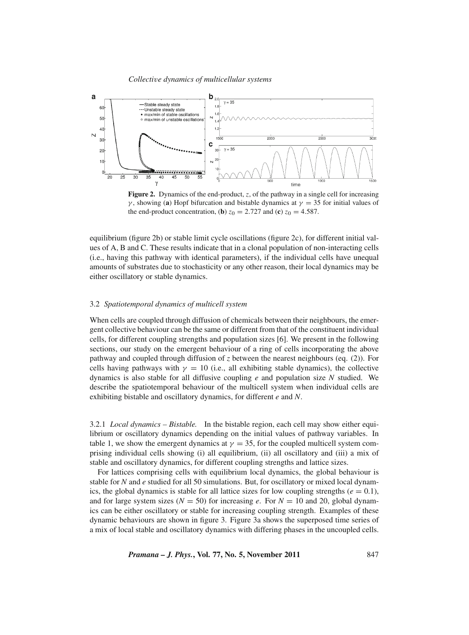

**Figure 2.** Dynamics of the end-product, *z*, of the pathway in a single cell for increasing γ, showing (**a**) Hopf bifurcation and bistable dynamics at  $γ = 35$  for initial values of the end-product concentration, (**b**)  $z_0 = 2.727$  and (**c**)  $z_0 = 4.587$ .

equilibrium (figure 2b) or stable limit cycle oscillations (figure 2c), for different initial values of A, B and C. These results indicate that in a clonal population of non-interacting cells (i.e., having this pathway with identical parameters), if the individual cells have unequal amounts of substrates due to stochasticity or any other reason, their local dynamics may be either oscillatory or stable dynamics.

# 3.2 *Spatiotemporal dynamics of multicell system*

When cells are coupled through diffusion of chemicals between their neighbours, the emergent collective behaviour can be the same or different from that of the constituent individual cells, for different coupling strengths and population sizes [6]. We present in the following sections, our study on the emergent behaviour of a ring of cells incorporating the above pathway and coupled through diffusion of *z* between the nearest neighbours (eq. (2)). For cells having pathways with  $\gamma = 10$  (i.e., all exhibiting stable dynamics), the collective dynamics is also stable for all diffusive coupling *e* and population size *N* studied. We describe the spatiotemporal behaviour of the multicell system when individual cells are exhibiting bistable and oscillatory dynamics, for different *e* and *N*.

3.2.1 *Local dynamics – Bistable.* In the bistable region, each cell may show either equilibrium or oscillatory dynamics depending on the initial values of pathway variables. In table 1, we show the emergent dynamics at  $\gamma = 35$ , for the coupled multicell system comprising individual cells showing (i) all equilibrium, (ii) all oscillatory and (iii) a mix of stable and oscillatory dynamics, for different coupling strengths and lattice sizes.

For lattices comprising cells with equilibrium local dynamics, the global behaviour is stable for *N* and *e* studied for all 50 simulations. But, for oscillatory or mixed local dynamics, the global dynamics is stable for all lattice sizes for low coupling strengths ( $e = 0.1$ ), and for large system sizes ( $N = 50$ ) for increasing *e*. For  $N = 10$  and 20, global dynamics can be either oscillatory or stable for increasing coupling strength. Examples of these dynamic behaviours are shown in figure 3. Figure 3a shows the superposed time series of a mix of local stable and oscillatory dynamics with differing phases in the uncoupled cells.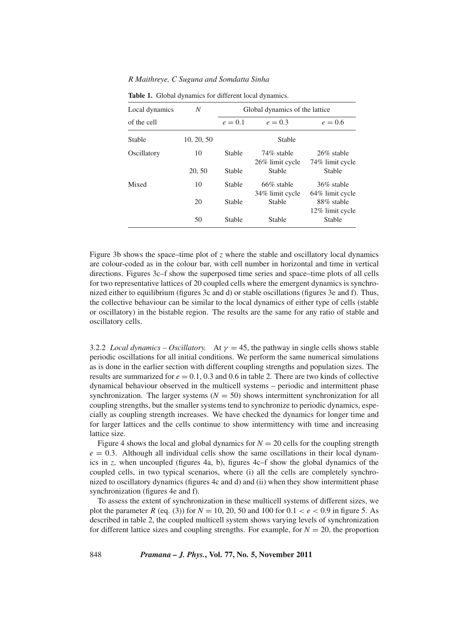*R Maithreye, C Suguna and Somdatta Sinha*

| Local dynamics | N          | Global dynamics of the lattice |                               |                                |
|----------------|------------|--------------------------------|-------------------------------|--------------------------------|
| of the cell    |            | $e=0.1$                        | $e = 0.3$                     | $e = 0.6$                      |
| Stable         | 10, 20, 50 |                                | Stable                        |                                |
| Oscillatory    | 10         | Stable                         | 74% stable<br>26% limit cycle | 26\% stable<br>74% limit cycle |
|                | 20, 50     | <b>Stable</b>                  | <b>Stable</b>                 | <b>Stable</b>                  |
| Mixed          | 10         | <b>Stable</b>                  | 66% stable<br>34% limit cycle | 36% stable<br>64% limit cycle  |
|                | 20         | <b>Stable</b>                  | Stable                        | 88% stable<br>12% limit cycle  |
|                | 50         | <b>Stable</b>                  | Stable                        | Stable                         |

**Table 1.** Global dynamics for different local dynamics.

Figure 3b shows the space–time plot of *z* where the stable and oscillatory local dynamics are colour-coded as in the colour bar, with cell number in horizontal and time in vertical directions. Figures 3c–f show the superposed time series and space–time plots of all cells for two representative lattices of 20 coupled cells where the emergent dynamics is synchronized either to equilibrium (figures 3c and d) or stable oscillations (figures 3e and f). Thus, the collective behaviour can be similar to the local dynamics of either type of cells (stable or oscillatory) in the bistable region. The results are the same for any ratio of stable and oscillatory cells.

3.2.2 *Local dynamics – Oscillatory.* At  $\gamma = 45$ , the pathway in single cells shows stable periodic oscillations for all initial conditions. We perform the same numerical simulations as is done in the earlier section with different coupling strengths and population sizes. The results are summarized for  $e = 0.1, 0.3$  and 0.6 in table 2. There are two kinds of collective dynamical behaviour observed in the multicell systems – periodic and intermittent phase synchronization. The larger systems  $(N = 50)$  shows intermittent synchronization for all coupling strengths, but the smaller systems tend to synchronize to periodic dynamics, especially as coupling strength increases. We have checked the dynamics for longer time and for larger lattices and the cells continue to show intermittency with time and increasing lattice size.

Figure 4 shows the local and global dynamics for  $N = 20$  cells for the coupling strength  $e = 0.3$ . Although all individual cells show the same oscillations in their local dynamics in *z*, when uncoupled (figures 4a, b), figures 4c–f show the global dynamics of the coupled cells, in two typical scenarios, where (i) all the cells are completely synchronized to oscillatory dynamics (figures 4c and d) and (ii) when they show intermittent phase synchronization (figures 4e and f).

To assess the extent of synchronization in these multicell systems of different sizes, we plot the parameter *R* (eq. (3)) for  $N = 10, 20, 50$  and 100 for  $0.1 < e < 0.9$  in figure 5. As described in table 2, the coupled multicell system shows varying levels of synchronization for different lattice sizes and coupling strengths. For example, for  $N = 20$ , the proportion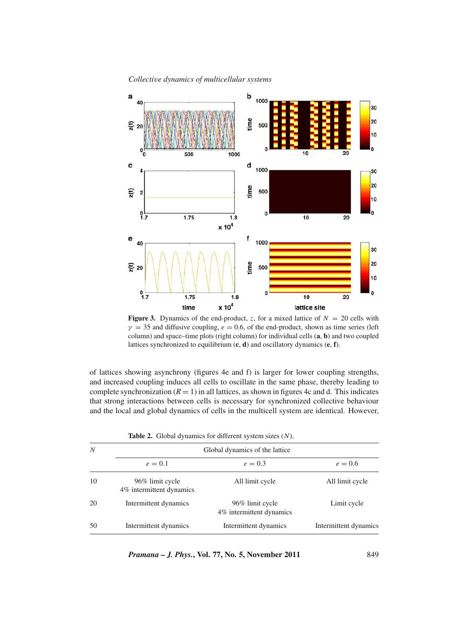

**Figure 3.** Dynamics of the end-product, *z*, for a mixed lattice of  $N = 20$  cells with  $\gamma = 35$  and diffusive coupling,  $e = 0.6$ , of the end-product, shown as time series (left column) and space–time plots (right column) for individual cells (**a**, **b**) and two coupled lattices synchronized to equilibrium (**c**, **d**) and oscillatory dynamics (**e**, **f**).

of lattices showing asynchrony (figures 4e and f) is larger for lower coupling strengths, and increased coupling induces all cells to oscillate in the same phase, thereby leading to complete synchronization  $(R = 1)$  in all lattices, as shown in figures 4c and d. This indicates that strong interactions between cells is necessary for synchronized collective behaviour and the local and global dynamics of cells in the multicell system are identical. However,

|  |  |  |  | <b>Table 2.</b> Global dynamics for different system sizes $(N)$ . |  |  |
|--|--|--|--|--------------------------------------------------------------------|--|--|
|--|--|--|--|--------------------------------------------------------------------|--|--|

| N  | Global dynamics of the lattice              |                                             |                       |  |  |  |  |
|----|---------------------------------------------|---------------------------------------------|-----------------------|--|--|--|--|
|    | $e = 0.1$                                   | $e = 0.3$                                   | $e = 0.6$             |  |  |  |  |
| 10 | 96% limit cycle<br>4% intermittent dynamics | All limit cycle                             | All limit cycle       |  |  |  |  |
| 20 | Intermittent dynamics                       | 96% limit cycle<br>4% intermittent dynamics | Limit cycle           |  |  |  |  |
| 50 | Intermittent dynamics                       | Intermittent dynamics                       | Intermittent dynamics |  |  |  |  |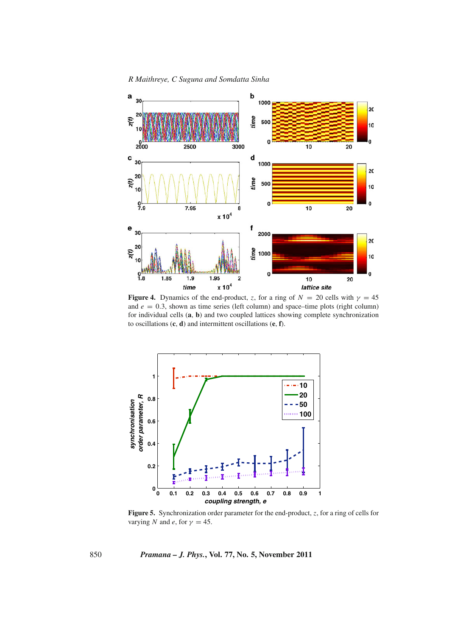*R Maithreye, C Suguna and Somdatta Sinha*



**Figure 4.** Dynamics of the end-product, *z*, for a ring of  $N = 20$  cells with  $\gamma = 45$ and  $e = 0.3$ , shown as time series (left column) and space–time plots (right column) for individual cells (**a**, **b**) and two coupled lattices showing complete synchronization to oscillations (**c**, **d**) and intermittent oscillations (**e**, **f**).



**Figure 5.** Synchronization order parameter for the end-product, *z*, for a ring of cells for varying *N* and *e*, for  $\gamma = 45$ .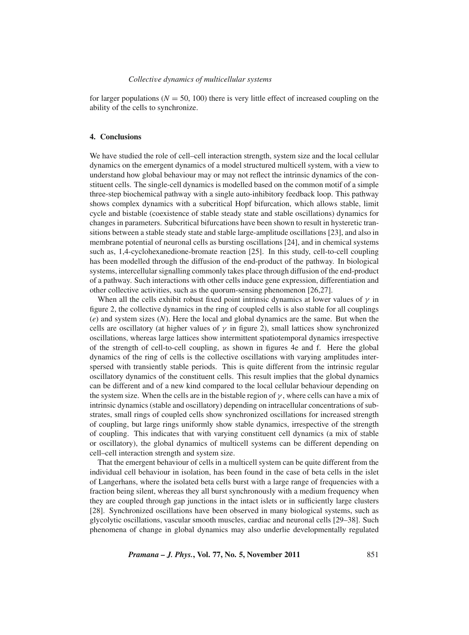for larger populations  $(N = 50, 100)$  there is very little effect of increased coupling on the ability of the cells to synchronize.

# **4. Conclusions**

We have studied the role of cell–cell interaction strength, system size and the local cellular dynamics on the emergent dynamics of a model structured multicell system, with a view to understand how global behaviour may or may not reflect the intrinsic dynamics of the constituent cells. The single-cell dynamics is modelled based on the common motif of a simple three-step biochemical pathway with a single auto-inhibitory feedback loop. This pathway shows complex dynamics with a subcritical Hopf bifurcation, which allows stable, limit cycle and bistable (coexistence of stable steady state and stable oscillations) dynamics for changes in parameters. Subcritical bifurcations have been shown to result in hysteretic transitions between a stable steady state and stable large-amplitude oscillations [23], and also in membrane potential of neuronal cells as bursting oscillations [24], and in chemical systems such as, 1,4-cyclohexanedione-bromate reaction [25]. In this study, cell-to-cell coupling has been modelled through the diffusion of the end-product of the pathway. In biological systems, intercellular signalling commonly takes place through diffusion of the end-product of a pathway. Such interactions with other cells induce gene expression, differentiation and other collective activities, such as the quorum-sensing phenomenon [26,27].

When all the cells exhibit robust fixed point intrinsic dynamics at lower values of  $\gamma$  in figure 2, the collective dynamics in the ring of coupled cells is also stable for all couplings (*e*) and system sizes (*N*). Here the local and global dynamics are the same. But when the cells are oscillatory (at higher values of  $\gamma$  in figure 2), small lattices show synchronized oscillations, whereas large lattices show intermittent spatiotemporal dynamics irrespective of the strength of cell-to-cell coupling, as shown in figures 4e and f. Here the global dynamics of the ring of cells is the collective oscillations with varying amplitudes interspersed with transiently stable periods. This is quite different from the intrinsic regular oscillatory dynamics of the constituent cells. This result implies that the global dynamics can be different and of a new kind compared to the local cellular behaviour depending on the system size. When the cells are in the bistable region of  $\gamma$ , where cells can have a mix of intrinsic dynamics (stable and oscillatory) depending on intracellular concentrations of substrates, small rings of coupled cells show synchronized oscillations for increased strength of coupling, but large rings uniformly show stable dynamics, irrespective of the strength of coupling. This indicates that with varying constituent cell dynamics (a mix of stable or oscillatory), the global dynamics of multicell systems can be different depending on cell–cell interaction strength and system size.

That the emergent behaviour of cells in a multicell system can be quite different from the individual cell behaviour in isolation, has been found in the case of beta cells in the islet of Langerhans, where the isolated beta cells burst with a large range of frequencies with a fraction being silent, whereas they all burst synchronously with a medium frequency when they are coupled through gap junctions in the intact islets or in sufficiently large clusters [28]. Synchronized oscillations have been observed in many biological systems, such as glycolytic oscillations, vascular smooth muscles, cardiac and neuronal cells [29–38]. Such phenomena of change in global dynamics may also underlie developmentally regulated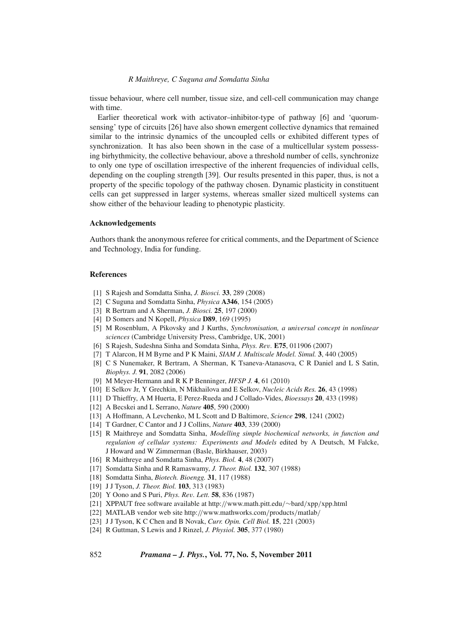## *R Maithreye, C Suguna and Somdatta Sinha*

tissue behaviour, where cell number, tissue size, and cell-cell communication may change with time.

Earlier theoretical work with activator–inhibitor-type of pathway [6] and 'quorumsensing' type of circuits [26] have also shown emergent collective dynamics that remained similar to the intrinsic dynamics of the uncoupled cells or exhibited different types of synchronization. It has also been shown in the case of a multicellular system possessing birhythmicity, the collective behaviour, above a threshold number of cells, synchronize to only one type of oscillation irrespective of the inherent frequencies of individual cells, depending on the coupling strength [39]. Our results presented in this paper, thus, is not a property of the specific topology of the pathway chosen. Dynamic plasticity in constituent cells can get suppressed in larger systems, whereas smaller sized multicell systems can show either of the behaviour leading to phenotypic plasticity.

# **Acknowledgements**

Authors thank the anonymous referee for critical comments, and the Department of Science and Technology, India for funding.

#### **References**

- [1] S Rajesh and Somdatta Sinha, *J. Biosci.* **33**, 289 (2008)
- [2] C Suguna and Somdatta Sinha, *Physica* **A346**, 154 (2005)
- [3] R Bertram and A Sherman, *J. Biosci.* **25**, 197 (2000)
- [4] D Somers and N Kopell, *Physica* **D89**, 169 (1995)
- [5] M Rosenblum, A Pikovsky and J Kurths, *Synchronisation, a uni*v*ersal concept in nonlinear sciences* (Cambridge University Press, Cambridge, UK, 2001)
- [6] S Rajesh, Sudeshna Sinha and Somdata Sinha, *Phys. Re*v*.* **E75**, 011906 (2007)
- [7] T Alarcon, H M Byrne and P K Maini, *SIAM J. Multiscale Model. Simul.* **3**, 440 (2005)
- [8] C S Nunemaker, R Bertram, A Sherman, K Tsaneva-Atanasova, C R Daniel and L S Satin, *Biophys. J.* **91**, 2082 (2006)
- [9] M Meyer-Hermann and R K P Benninger, *HFSP J.* **4**, 61 (2010)
- [10] E Selkov Jr, Y Grechkin, N Mikhailova and E Selkov, *Nucleic Acids Res.* **26**, 43 (1998)
- [11] D Thieffry, A M Huerta, E Perez-Rueda and J Collado-Vides, *Bioessays* **20**, 433 (1998)
- [12] A Becskei and L Serrano, *Nature* **405**, 590 (2000)
- [13] A Hoffmann, A Levchenko, M L Scott and D Baltimore, *Science* **298**, 1241 (2002)
- [14] T Gardner, C Cantor and J J Collins, *Nature* **403**, 339 (2000)
- [15] R Maithreye and Somdatta Sinha, *Modelling simple biochemical networks, in function and regulation of cellular systems: Experiments and Models* edited by A Deutsch, M Falcke, J Howard and W Zimmerman (Basle, Birkhauser, 2003)
- [16] R Maithreye and Somdatta Sinha, *Phys. Biol.* **4**, 48 (2007)
- [17] Somdatta Sinha and R Ramaswamy, *J. Theor. Biol.* **132**, 307 (1988)
- [18] Somdatta Sinha, *Biotech. Bioengg.* **31**, 117 (1988)
- [19] J J Tyson, *J. Theor. Biol.* **103**, 313 (1983)
- [20] Y Oono and S Puri, *Phys. Re*v*. Lett.* **58**, 836 (1987)
- [21] XPPAUT free software available at http://www.math.pitt.edu/∼bard/xpp/xpp.html
- [22] MATLAB vendor web site http://www.mathworks.com/products/matlab/
- [23] J J Tyson, K C Chen and B Novak, *Curr. Opin. Cell Biol.* **15**, 221 (2003)
- [24] R Guttman, S Lewis and J Rinzel, *J. Physiol.* **305**, 377 (1980)